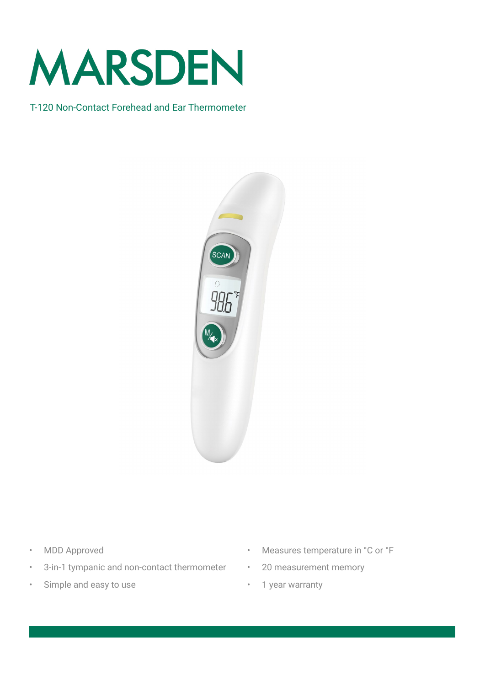

#### T-120 Non-Contact Forehead and Ear Thermometer



- MDD Approved
- 3-in-1 tympanic and non-contact thermometer
- Simple and easy to use
- Measures temperature in °C or °F
- 20 measurement memory
	- 1 year warranty